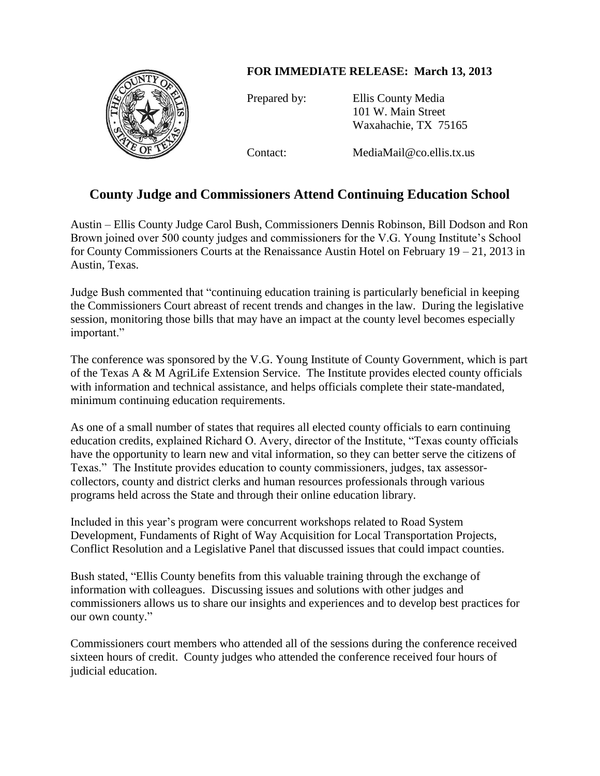## **FOR IMMEDIATE RELEASE: March 13, 2013**



Prepared by: Ellis County Media 101 W. Main Street Waxahachie, TX 75165

Contact: MediaMail@co.ellis.tx.us

## **County Judge and Commissioners Attend Continuing Education School**

Austin – Ellis County Judge Carol Bush, Commissioners Dennis Robinson, Bill Dodson and Ron Brown joined over 500 county judges and commissioners for the V.G. Young Institute's School for County Commissioners Courts at the Renaissance Austin Hotel on February 19 – 21, 2013 in Austin, Texas.

Judge Bush commented that "continuing education training is particularly beneficial in keeping the Commissioners Court abreast of recent trends and changes in the law. During the legislative session, monitoring those bills that may have an impact at the county level becomes especially important."

The conference was sponsored by the V.G. Young Institute of County Government, which is part of the Texas A & M AgriLife Extension Service. The Institute provides elected county officials with information and technical assistance, and helps officials complete their state-mandated, minimum continuing education requirements.

As one of a small number of states that requires all elected county officials to earn continuing education credits, explained Richard O. Avery, director of the Institute, "Texas county officials have the opportunity to learn new and vital information, so they can better serve the citizens of Texas." The Institute provides education to county commissioners, judges, tax assessorcollectors, county and district clerks and human resources professionals through various programs held across the State and through their online education library.

Included in this year's program were concurrent workshops related to Road System Development, Fundaments of Right of Way Acquisition for Local Transportation Projects, Conflict Resolution and a Legislative Panel that discussed issues that could impact counties.

Bush stated, "Ellis County benefits from this valuable training through the exchange of information with colleagues. Discussing issues and solutions with other judges and commissioners allows us to share our insights and experiences and to develop best practices for our own county."

Commissioners court members who attended all of the sessions during the conference received sixteen hours of credit. County judges who attended the conference received four hours of judicial education.